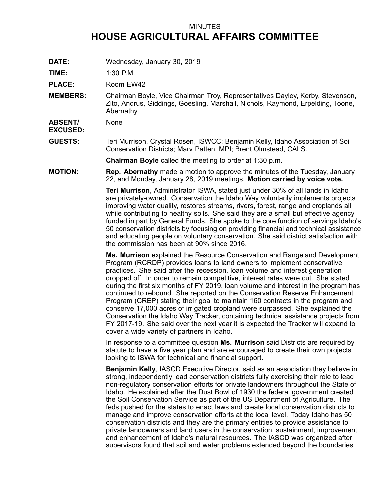## MINUTES **HOUSE AGRICULTURAL AFFAIRS COMMITTEE**

**DATE:** Wednesday, January 30, 2019

**TIME:** 1:30 P.M.

PLACE: Room EW42

**MEMBERS:** Chairman Boyle, Vice Chairman Troy, Representatives Dayley, Kerby, Stevenson, Zito, Andrus, Giddings, Goesling, Marshall, Nichols, Raymond, Erpelding, Toone, Abernathy

**ABSENT/ EXCUSED:** None

**GUESTS:** Teri Murrison, Crystal Rosen, ISWCC; Benjamin Kelly, Idaho Association of Soil Conservation Districts; Marv Patten, MPI; Brent Olmstead, CALS.

**Chairman Boyle** called the meeting to order at 1:30 p.m.

**MOTION: Rep. Abernathy** made <sup>a</sup> motion to approve the minutes of the Tuesday, January 22, and Monday, January 28, 2019 meetings. **Motion carried by voice vote.**

> **Teri Murrison**, Administrator ISWA, stated just under 30% of all lands in Idaho are privately-owned. Conservation the Idaho Way voluntarily implements projects improving water quality, restores streams, rivers, forest, range and croplands all while contributing to healthy soils. She said they are <sup>a</sup> small but effective agency funded in part by General Funds. She spoke to the core function of servings Idaho's 50 conservation districts by focusing on providing financial and technical assistance and educating people on voluntary conservation. She said district satisfaction with the commission has been at 90% since 2016.

> **Ms. Murrison** explained the Resource Conservation and Rangeland Development Program (RCRDP) provides loans to land owners to implement conservative practices. She said after the recession, loan volume and interest generation dropped off. In order to remain competitive, interest rates were cut. She stated during the first six months of FY 2019, loan volume and interest in the program has continued to rebound. She reported on the Conservation Reserve Enhancement Program (CREP) stating their goal to maintain 160 contracts in the program and conserve 17,000 acres of irrigated cropland were surpassed. She explained the Conservation the Idaho Way Tracker, containing technical assistance projects from FY 2017-19. She said over the next year it is expected the Tracker will expand to cover <sup>a</sup> wide variety of partners in Idaho.

In response to <sup>a</sup> committee question **Ms. Murrison** said Districts are required by statute to have <sup>a</sup> five year plan and are encouraged to create their own projects looking to ISWA for technical and financial support.

**Benjamin Kelly**, IASCD Executive Director, said as an association they believe in strong, independently lead conservation districts fully exercising their role to lead non-regulatory conservation efforts for private landowners throughout the State of Idaho. He explained after the Dust Bowl of 1930 the federal government created the Soil Conservation Service as part of the US Department of Agriculture. The feds pushed for the states to enact laws and create local conservation districts to manage and improve conservation efforts at the local level. Today Idaho has 50 conservation districts and they are the primary entities to provide assistance to private landowners and land users in the conservation, sustainment, improvement and enhancement of Idaho's natural resources. The IASCD was organized after supervisors found that soil and water problems extended beyond the boundaries